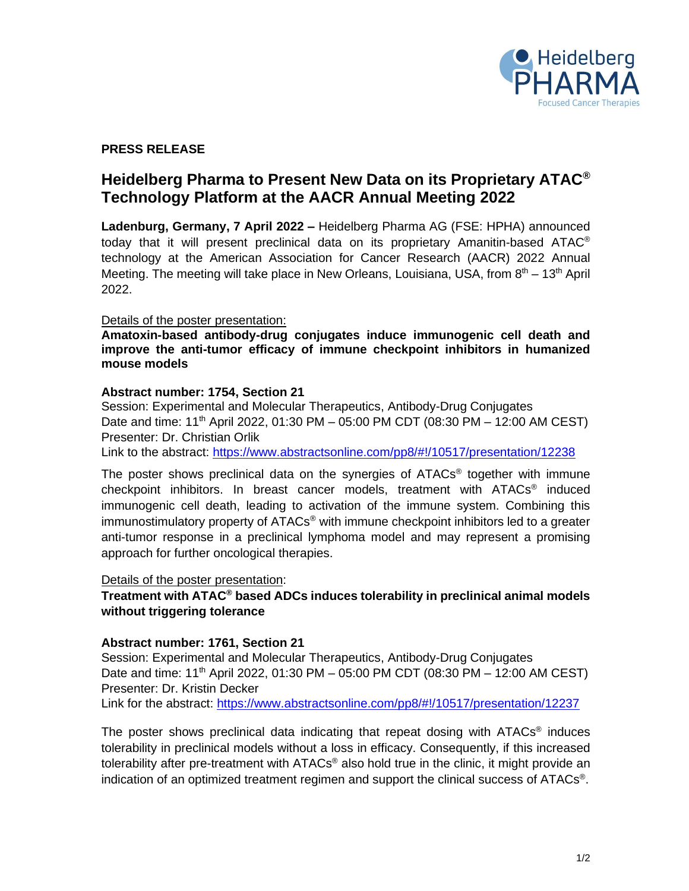

# **PRESS RELEASE**

# **Heidelberg Pharma to Present New Data on its Proprietary ATAC® Technology Platform at the AACR Annual Meeting 2022**

**Ladenburg, Germany, 7 April 2022 –** Heidelberg Pharma AG (FSE: HPHA) announced today that it will present preclinical data on its proprietary Amanitin-based ATAC® technology at the American Association for Cancer Research (AACR) 2022 Annual Meeting. The meeting will take place in New Orleans, Louisiana, USA, from 8<sup>th</sup> – 13<sup>th</sup> April 2022.

#### Details of the poster presentation:

**Amatoxin-based antibody-drug conjugates induce immunogenic cell death and improve the anti-tumor efficacy of immune checkpoint inhibitors in humanized mouse models**

#### **Abstract number: 1754, Section 21**

Session: Experimental and Molecular Therapeutics, Antibody-Drug Conjugates Date and time: 11<sup>th</sup> April 2022, 01:30 PM – 05:00 PM CDT (08:30 PM – 12:00 AM CEST) Presenter: Dr. Christian Orlik

Link to the abstract:<https://www.abstractsonline.com/pp8/#!/10517/presentation/12238>

The poster shows preclinical data on the synergies of ATACs<sup>®</sup> together with immune checkpoint inhibitors. In breast cancer models, treatment with ATACs ® induced immunogenic cell death, leading to activation of the immune system. Combining this immunostimulatory property of ATACs<sup>®</sup> with immune checkpoint inhibitors led to a greater anti-tumor response in a preclinical lymphoma model and may represent a promising approach for further oncological therapies.

#### Details of the poster presentation:

## **Treatment with ATAC® based ADCs induces tolerability in preclinical animal models without triggering tolerance**

## **Abstract number: 1761, Section 21**

Session: Experimental and Molecular Therapeutics, Antibody-Drug Conjugates Date and time: 11<sup>th</sup> April 2022, 01:30 PM – 05:00 PM CDT (08:30 PM – 12:00 AM CEST) Presenter: Dr. Kristin Decker Link for the abstract:<https://www.abstractsonline.com/pp8/#!/10517/presentation/12237>

The poster shows preclinical data indicating that repeat dosing with ATACs® induces tolerability in preclinical models without a loss in efficacy. Consequently, if this increased tolerability after pre-treatment with ATACs® also hold true in the clinic, it might provide an indication of an optimized treatment regimen and support the clinical success of ATACs®.